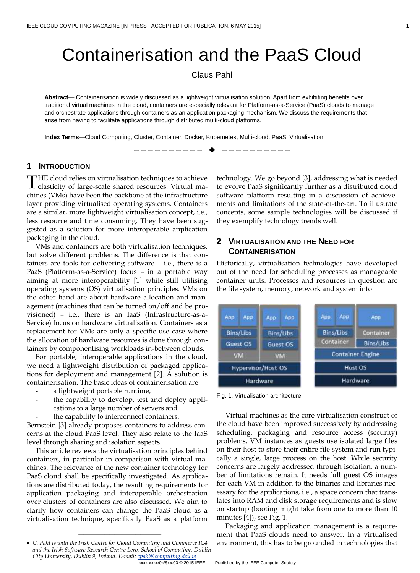# Containerisation and the PaaS Cloud

Claus Pahl

**Abstract**— Containerisation is widely discussed as a lightweight virtualisation solution. Apart from exhibiting benefits over traditional virtual machines in the cloud, containers are especially relevant for Platform-as-a-Service (PaaS) clouds to manage and orchestrate applications through containers as an application packaging mechanism. We discuss the requirements that arise from having to facilitate applications through distributed multi-cloud platforms.

—————————— ——————————

**Index Terms**—Cloud Computing, Cluster, Container, Docker, Kubernetes, Multi-cloud, PaaS, Virtualisation.

#### **1 INTRODUCTION**

HE cloud relies on virtualisation techniques to achieve THE cloud relies on virtualisation techniques to achieve<br>elasticity of large-scale shared resources. Virtual machines (VMs) have been the backbone at the infrastructure layer providing virtualised operating systems. Containers are a similar, more lightweight virtualisation concept, i.e., less resource and time consuming. They have been suggested as a solution for more interoperable application packaging in the cloud.

VMs and containers are both virtualisation techniques, but solve different problems. The difference is that containers are tools for delivering software – i.e., there is a PaaS (Platform-as-a-Service) focus – in a portable way aiming at more interoperability [1] while still utilising operating systems (OS) virtualisation principles. VMs on the other hand are about hardware allocation and management (machines that can be turned on/off and be provisioned) – i.e., there is an IaaS (Infrastructure-as-a-Service) focus on hardware virtualisation. Containers as a replacement for VMs are only a specific use case where the allocation of hardware resources is done through containers by componentising workloads in-between clouds.

For portable, interoperable applications in the cloud, we need a lightweight distribution of packaged applications for deployment and management [2]. A solution is containerisation. The basic ideas of containerisation are

- a lightweight portable runtime,
- the capability to develop, test and deploy applications to a large number of servers and
- the capability to interconnect containers.

Bernstein [3] already proposes containers to address concerns at the cloud PaaS level. They also relate to the IaaS level through sharing and isolation aspects.

This article reviews the virtualisation principles behind containers, in particular in comparison with virtual machines. The relevance of the new container technology for PaaS cloud shall be specifically investigated. As applications are distributed today, the resulting requirements for application packaging and interoperable orchestration over clusters of containers are also discussed. We aim to clarify how containers can change the PaaS cloud as a virtualisation technique, specifically PaaS as a platform

————————————————

technology. We go beyond [3], addressing what is needed to evolve PaaS significantly further as a distributed cloud software platform resulting in a discussion of achievements and limitations of the state-of-the-art. To illustrate concepts, some sample technologies will be discussed if they exemplify technology trends well.

## **2 VIRTUALISATION AND THE NEED FOR CONTAINERISATION**

Historically, virtualisation technologies have developed out of the need for scheduling processes as manageable container units. Processes and resources in question are the file system, memory, network and system info.

| App                | App | App              | App. | App.      | App                     | App       |
|--------------------|-----|------------------|------|-----------|-------------------------|-----------|
| Bins/Libs          |     | <b>Bins/Libs</b> |      | Bins/Libs |                         | Container |
| Guest OS           |     | Guest OS         |      | Container |                         | Bins/Libs |
| <b>VM</b>          |     | VM               |      |           | <b>Container Engine</b> |           |
| Hypervisor/Host OS |     |                  |      | Host OS   |                         |           |
| Hardware           |     |                  |      | Hardware  |                         |           |

Fig. 1. Virtualisation architecture.

Virtual machines as the core virtualisation construct of the cloud have been improved successively by addressing scheduling, packaging and resource access (security) problems. VM instances as guests use isolated large files on their host to store their entire file system and run typically a single, large process on the host. While security concerns are largely addressed through isolation, a number of limitations remain. It needs full guest OS images for each VM in addition to the binaries and libraries necessary for the applications, i.e., a space concern that translates into RAM and disk storage requirements and is slow on startup (booting might take from one to more than 10 minutes [4]), see Fig. 1.

Packaging and application management is a requirement that PaaS clouds need to answer. In a virtualised environment, this has to be grounded in technologies that

*C. Pahl is with the Irish Centre for Cloud Computing and Commerce IC4 and the Irish Software Research Centre Lero, School of Computing, Dublin City University, Dublin 9, Ireland. E-mail[: cpahl@computing.dcu.ie](mailto:cpahl@computing.dcu.ie) .*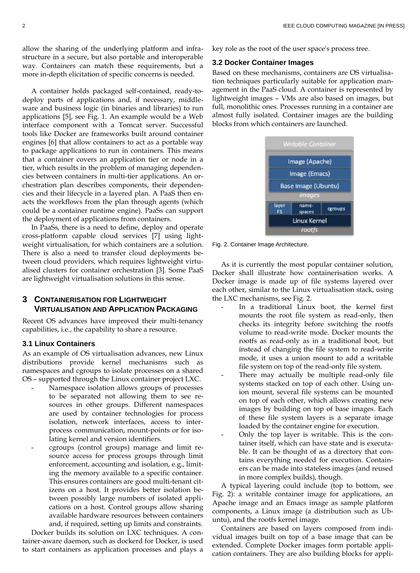allow the sharing of the underlying platform and infrastructure in a secure, but also portable and interoperable way. Containers can match these requirements, but a more in-depth elicitation of specific concerns is needed.

A container holds packaged self-contained, ready-todeploy parts of applications and, if necessary, middleware and business logic (in binaries and libraries) to run applications [5], see Fig. 1. An example would be a Web interface component with a Tomcat server. Successful tools like Docker are frameworks built around container engines [6] that allow containers to act as a portable way to package applications to run in containers. This means that a container covers an application tier or node in a tier, which results in the problem of managing dependencies between containers in multi-tier applications. An orchestration plan describes components, their dependencies and their lifecycle in a layered plan. A PaaS then enacts the workflows from the plan through agents (which could be a container runtime engine). PaaSs can support the deployment of applications from containers.

In PaaSs, there is a need to define, deploy and operate cross-platform capable cloud services [7] using lightweight virtualisation, for which containers are a solution. There is also a need to transfer cloud deployments between cloud providers, which requires lightweight virtualised clusters for container orchestration [3]. Some PaaS are lightweight virtualisation solutions in this sense.

## **3 CONTAINERISATION FOR LIGHTWEIGHT VIRTUALISATION AND APPLICATION PACKAGING**

Recent OS advances have improved their multi-tenancy capabilities, i.e., the capability to share a resource.

#### **3.1 Linux Containers**

As an example of OS virtualisation advances, new Linux distributions provide kernel mechanisms such as namespaces and cgroups to isolate processes on a shared OS – supported through the Linux container project LXC.

- Namespace isolation allows groups of processes to be separated not allowing them to see resources in other groups. Different namespaces are used by container technologies for process isolation, network interfaces, access to interprocess communication, mount-points or for isolating kernel and version identifiers.
- cgroups (control groups) manage and limit resource access for process groups through limit enforcement, accounting and isolation, e.g., limiting the memory available to a specific container. This ensures containers are good multi-tenant citizens on a host. It provides better isolation between possibly large numbers of isolated applications on a host. Control groups allow sharing available hardware resources between containers and, if required, setting up limits and constraints.

Docker builds its solution on LXC techniques. A container-aware daemon, such as dockerd for Docker, is used to start containers as application processes and plays a key role as the root of the user space's process tree.

#### **3.2 Docker Container Images**

Based on these mechanisms, containers are OS virtualisation techniques particularly suitable for application management in the PaaS cloud. A container is represented by lightweight images – VMs are also based on images, but full, monolithic ones. Processes running in a container are almost fully isolated. Container images are the building blocks from which containers are launched.



Fig. 2. Container Image Architecture.

As it is currently the most popular container solution, Docker shall illustrate how containerisation works. A Docker image is made up of file systems layered over each other, similar to the Linux virtualisation stack, using the LXC mechanisms, see Fig. 2.

- In a traditional Linux boot, the kernel first mounts the root file system as read-only, then checks its integrity before switching the rootfs volume to read-write mode. Docker mounts the rootfs as read-only as in a traditional boot, but instead of changing the file system to read-write mode, it uses a union mount to add a writable file system on top of the read-only file system.
- There may actually be multiple read-only file systems stacked on top of each other. Using union mount, several file systems can be mounted on top of each other, which allows creating new images by building on top of base images. Each of these file system layers is a separate image loaded by the container engine for execution.
- Only the top layer is writable. This is the container itself, which can have state and is executable. It can be thought of as a directory that contains everything needed for execution. Containers can be made into stateless images (and reused in more complex builds), though.

A typical layering could include (top to bottom, see Fig. 2): a writable container image for applications, an Apache image and an Emacs image as sample platform components, a Linux image (a distribution such as Ubuntu), and the rootfs kernel image.

Containers are based on layers composed from individual images built on top of a base image that can be extended. Complete Docker images form portable application containers. They are also building blocks for appli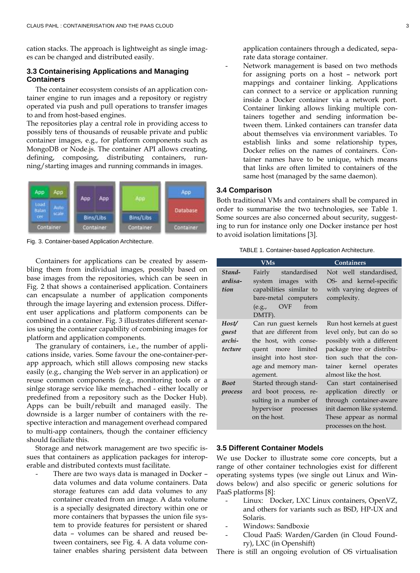cation stacks. The approach is lightweight as single images can be changed and distributed easily.

#### **3.3 Containerising Applications and Managing Containers**

The container ecosystem consists of an application container engine to run images and a repository or registry operated via push and pull operations to transfer images to and from host-based engines.

The repositories play a central role in providing access to possibly tens of thousands of reusable private and public container images, e.g., for platform components such as MongoDB or Node.js. The container API allows creating, defining, composing, distributing containers, running/starting images and running commands in images.



Fig. 3. Container-based Application Architecture.

Containers for applications can be created by assembling them from individual images, possibly based on base images from the repositories, which can be seen in Fig. 2 that shows a containerised application. Containers can encapsulate a number of application components through the image layering and extension process. Different user applications and platform components can be combined in a container. Fig. 3 illustrates different scenarios using the container capability of combining images for platform and application components.

The granulary of containers, i.e., the number of applications inside, varies. Some favour the one-container-perapp approach, which still allows composing new stacks easily (e.g., changing the Web server in an application) or reuse common components (e.g., monitoring tools or a sinlge storage service like memchached - either locally or predefined from a repository such as the Docker Hub). Apps can be built/rebuilt and managed easily. The downside is a larger number of containers with the respective interaction and management overhead compared to multi-app containers, though the container efficiency should faciliate this.

Storage and network management are two specific issues that containers as application packages for interoperable and distributed contexts must facilitate.

There are two ways data is managed in Docker data volumes and data volume containers. Data storage features can add data volumes to any container created from an image. A data volume is a specially designated directory within one or more containers that bypasses the union file system to provide features for persistent or shared data – volumes can be shared and reused between containers, see Fig. 4. A data volume container enables sharing persistent data between

application containers through a dedicated, separate data storage container.

Network management is based on two methods for assigning ports on a host – network port mappings and container linking. Applications can connect to a service or application running inside a Docker container via a network port. Container linking allows linking multiple containers together and sending information between them. Linked containers can transfer data about themselves via environment variables. To establish links and some relationship types, Docker relies on the names of containers. Container names have to be unique, which means that links are often limited to containers of the same host (managed by the same daemon).

## **3.4 Comparison**

Both traditional VMs and containers shall be compared in order to summarise the two technologies, see Table 1. Some sources are also concerned about security, suggesting to run for instance only one Docker instance per host to avoid isolation limitations [3].

TABLE 1. Container-based Application Architecture.

|                                     | <b>VMs</b>                                                                                                                                                    | <b>Containers</b>                                                                                                                                                                              |
|-------------------------------------|---------------------------------------------------------------------------------------------------------------------------------------------------------------|------------------------------------------------------------------------------------------------------------------------------------------------------------------------------------------------|
| Stand-<br>ardisa-<br>tion           | Fairly standardised<br>system images with<br>capabilities similar to<br>bare-metal computers<br>$(e.g., \quad OVF$<br>from<br>DMTF).                          | Not well standardised,<br>OS- and kernel-specific<br>with varying degrees of<br>complexity.                                                                                                    |
| Host/<br>guest<br>archi-<br>tecture | Can run guest kernels<br>that are different from<br>the host, with conse-<br>quent more limited<br>insight into host stor-<br>age and memory man-<br>agement. | Run host kernels at guest<br>level only, but can do so<br>possibly with a different<br>package tree or distribu-<br>tion such that the con-<br>tainer kernel operates<br>almost like the host. |
| <b>Boot</b><br>process              | Started through stand-<br>ard boot process, re-<br>sulting in a number of<br>hypervisor processes<br>on the host.                                             | Can start containerised<br>application directly or<br>through container-aware<br>init daemon like systemd.<br>These appear as normal<br>processes on the host.                                 |

## **3.5 Different Container Models**

We use Docker to illustrate some core concepts, but a range of other container technologies exist for different operating systems types (we single out Linux and Windows below) and also specific or generic solutions for PaaS platforms [8]:

- Linux: Docker, LXC Linux containers, OpenVZ, and others for variants such as BSD, HP-UX and Solaris.
- Windows: Sandboxie
- Cloud PaaS: Warden/Garden (in Cloud Foundry), LXC (in Openshift)

There is still an ongoing evolution of OS virtualisation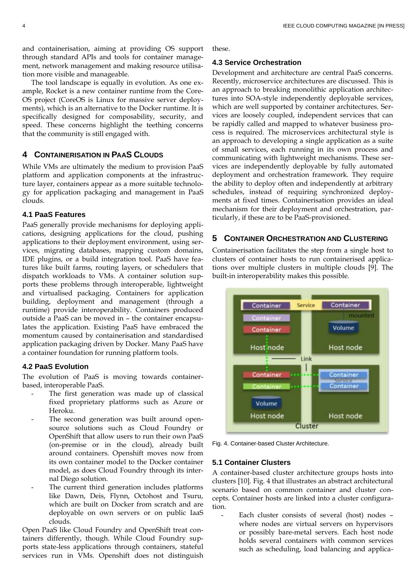and containerisation, aiming at providing OS support through standard APIs and tools for container management, network management and making resource utilisation more visible and manageable.

The tool landscape is equally in evolution. As one example, Rocket is a new container runtime from the Core-OS project (CoreOS is Linux for massive server deployments), which is an alternative to the Docker runtime. It is specifically designed for composability, security, and speed. These concerns highlight the teething concerns that the community is still engaged with.

## **4 CONTAINERISATION IN PAAS CLOUDS**

While VMs are ultimately the medium to provision PaaS platform and application components at the infrastructure layer, containers appear as a more suitable technology for application packaging and management in PaaS clouds.

## **4.1 PaaS Features**

PaaS generally provide mechanisms for deploying applications, designing applications for the cloud, pushing applications to their deployment environment, using services, migrating databases, mapping custom domains, IDE plugins, or a build integration tool. PaaS have features like built farms, routing layers, or schedulers that dispatch workloads to VMs. A container solution supports these problems through interoperable, lightweight and virtualised packaging. Containers for application building, deployment and management (through a runtime) provide interoperability. Containers produced outside a PaaS can be moved in – the container encapsulates the application. Existing PaaS have embraced the momentum caused by containerisation and standardised application packaging driven by Docker. Many PaaS have a container foundation for running platform tools.

## **4.2 PaaS Evolution**

The evolution of PaaS is moving towards containerbased, interoperable PaaS.

- The first generation was made up of classical fixed proprietary platforms such as Azure or Heroku.
- The second generation was built around opensource solutions such as Cloud Foundry or OpenShift that allow users to run their own PaaS (on-premise or in the cloud), already built around containers. Openshift moves now from its own container model to the Docker container model, as does Cloud Foundry through its internal Diego solution.
- The current third generation includes platforms like Dawn, Deis, Flynn, Octohost and Tsuru, which are built on Docker from scratch and are deployable on own servers or on public IaaS clouds.

Open PaaS like Cloud Foundry and OpenShift treat containers differently, though. While Cloud Foundry supports state-less applications through containers, stateful services run in VMs. Openshift does not distinguish

these.

#### **4.3 Service Orchestration**

Development and architecture are central PaaS concerns. Recently, microservice architectures are discussed. This is an approach to breaking monolithic application architectures into SOA-style independently deployable services, which are well supported by container architectures. Services are loosely coupled, independent services that can be rapidly called and mapped to whatever business process is required. The microservices architectural style is an approach to developing a single application as a suite of small services, each running in its own process and communicating with lightweight mechanisms. These services are independently deployable by fully automated deployment and orchestration framework. They require the ability to deploy often and independently at arbitrary schedules, instead of requiring synchronized deployments at fixed times. Containerisation provides an ideal mechanism for their deployment and orchestration, particularly, if these are to be PaaS-provisioned.

# **5 CONTAINER ORCHESTRATION AND CLUSTERING**

Containerisation facilitates the step from a single host to clusters of container hosts to run containerised applications over multiple clusters in multiple clouds [9]. The built-in interoperability makes this possible.



Fig. 4. Container-based Cluster Architecture.

#### **5.1 Container Clusters**

A container-based cluster architecture groups hosts into clusters [10]. Fig. 4 that illustrates an abstract architectural scenario based on common container and cluster concepts. Container hosts are linked into a cluster configuration.

- Each cluster consists of several (host) nodes – where nodes are virtual servers on hypervisors or possibly bare-metal servers. Each host node holds several containers with common services such as scheduling, load balancing and applica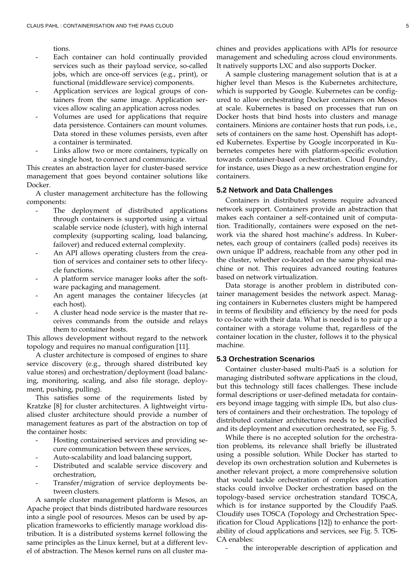tions.

- Each container can hold continually provided services such as their payload service, so-called jobs, which are once-off services (e.g., print), or functional (middleware service) components.
- Application services are logical groups of containers from the same image. Application services allow scaling an application across nodes.
- Volumes are used for applications that require data persistence. Containers can mount volumes. Data stored in these volumes persists, even after a container is terminated.
- Links allow two or more containers, typically on a single host, to connect and communicate.

This creates an abstraction layer for cluster-based service management that goes beyond container solutions like Docker.

A cluster management architecture has the following components:

- The deployment of distributed applications through containers is supported using a virtual scalable service node (cluster), with high internal complexity (supporting scaling, load balancing, failover) and reduced external complexity.
- An API allows operating clusters from the creation of services and container sets to other lifecycle functions.
- A platform service manager looks after the software packaging and management.
- An agent manages the container lifecycles (at each host).
- A cluster head node service is the master that receives commands from the outside and relays them to container hosts.

This allows development without regard to the network topology and requires no manual configuration [11].

A cluster architecture is composed of engines to share service discovery (e.g., through shared distributed key value stores) and orchestration/deployment (load balancing, monitoring, scaling, and also file storage, deployment, pushing, pulling).

This satisfies some of the requirements listed by Kratzke [8] for cluster architectures. A lightweight virtualised cluster architecture should provide a number of management features as part of the abstraction on top of the container hosts:

- Hosting containerised services and providing secure communication between these services,
- Auto-scalability and load balancing support,
- Distributed and scalable service discovery and orchestration,
- Transfer/migration of service deployments between clusters.

A sample cluster management platform is Mesos, an Apache project that binds distributed hardware resources into a single pool of resources. Mesos can be used by application frameworks to efficiently manage workload distribution. It is a distributed systems kernel following the same principles as the Linux kernel, but at a different level of abstraction. The Mesos kernel runs on all cluster machines and provides applications with APIs for resource management and scheduling across cloud environments. It natively supports LXC and also supports Docker.

A sample clustering management solution that is at a higher level than Mesos is the Kubernetes architecture, which is supported by Google. Kubernetes can be configured to allow orchestrating Docker containers on Mesos at scale. Kubernetes is based on processes that run on Docker hosts that bind hosts into clusters and manage containers. Minions are container hosts that run pods, i.e., sets of containers on the same host. Openshift has adopted Kubernetes. Expertise by Google incorporated in Kubernetes competes here with platform-specific evolution towards container-based orchestration. Cloud Foundry, for instance, uses Diego as a new orchestration engine for containers.

## **5.2 Network and Data Challenges**

Containers in distributed systems require advanced network support. Containers provide an abstraction that makes each container a self-contained unit of computation. Traditionally, containers were exposed on the network via the shared host machine's address. In Kubernetes, each group of containers (called pods) receives its own unique IP address, reachable from any other pod in the cluster, whether co-located on the same physical machine or not. This requires advanced routing features based on network virtualization.

Data storage is another problem in distributed container management besides the network aspect. Managing containers in Kubernetes clusters might be hampered in terms of flexibility and efficiency by the need for pods to co-locate with their data. What is needed is to pair up a container with a storage volume that, regardless of the container location in the cluster, follows it to the physical machine.

#### **5.3 Orchestration Scenarios**

Container cluster-based multi-PaaS is a solution for managing distributed software applications in the cloud, but this technology still faces challenges. These include formal descriptions or user-defined metadata for containers beyond image tagging with simple IDs, but also clusters of containers and their orchestration. The topology of distributed container architectures needs to be specified and its deployment and execution orchestrated, see Fig. 5.

While there is no accepted solution for the orchestration problems, its relevance shall briefly be illustrated using a possible solution. While Docker has started to develop its own orchestration solution and Kubernetes is another relevant project, a more comprehensive solution that would tackle orchestration of complex application stacks could involve Docker orchestration based on the topology-based service orchestration standard TOSCA, which is for instance supported by the Cloudify PaaS. Cloudify uses TOSCA (Topology and Orchestration Specification for Cloud Applications [12]) to enhance the portability of cloud applications and services, see Fig. 5. TOS-CA enables:

the interoperable description of application and